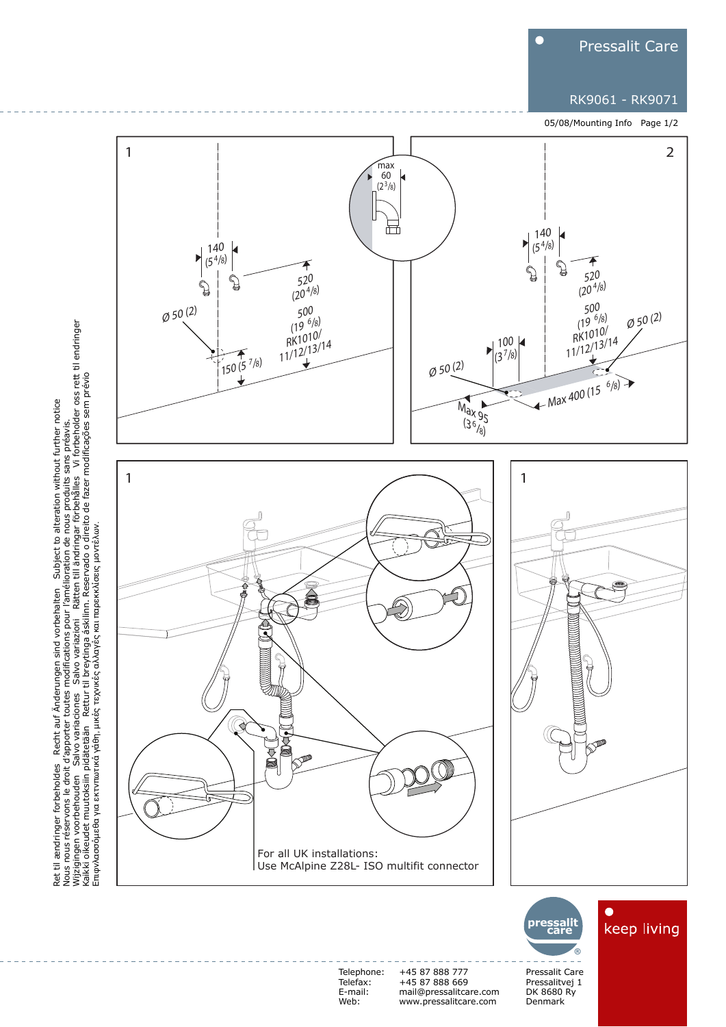

## RK9061 - RK9071

05/08/Mounting Info Page 1/2



Ret til ændringer forbeholdes Recht auf Änderungen sind vorbehalten Subject to alteration without further notice<br>Nous nous réservons le droit d'apporter toutes modifications pour l'amélioration de nous produits sans pr Nous nous réservons le droit d'apporter toutes modifications pour l'amélioration de nous produits sans préavis.<br>Wijzigingen voorbehouden Salvo variaciones Salvo variazioni Rätten till ändringar förbehålles Vi forbeholder o Kaikki oikeudet muutoksiin pidätetään Rettur til breytinga áskilinn. Reservado o direito de fazer modificações sem prévio Ret til ændringer forbeholdes Recht auf Änderungen sind vorbehalten Subject to alteration without further notice Eπιφνλασσόμεθα για εκτνπωτικά γάθη, μικές τεχνικές αλλαγές και παρεκκλίσεις μοντέλων.

> Telephone: Telefax: E-mail: Web:

+45 87 888 777 +45 87 888 669 mail@pressalitcare.com www.pressalitcare.com

Pressalit Care Pressalitvej 1 DK 8680 Ry Denmark **®**